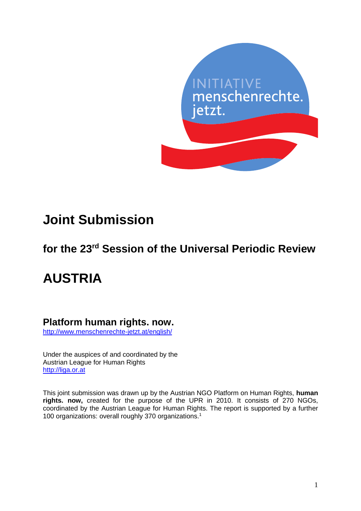

## **Joint Submission**

### **for the 23rd Session of the Universal Periodic Review**

# **AUSTRIA**

### **Platform human rights. now.**

<http://www.menschenrechte-jetzt.at/english/>

Under the auspices of and coordinated by the Austrian League for Human Rights [http://liga.or.at](http://liga.or.at/)

This joint submission was drawn up by the Austrian NGO Platform on Human Rights, **human rights. now,** created for the purpose of the UPR in 2010. It consists of 270 NGOs, coordinated by the Austrian League for Human Rights. The report is supported by a further 100 organizations: overall roughly 370 organizations.<sup>1</sup>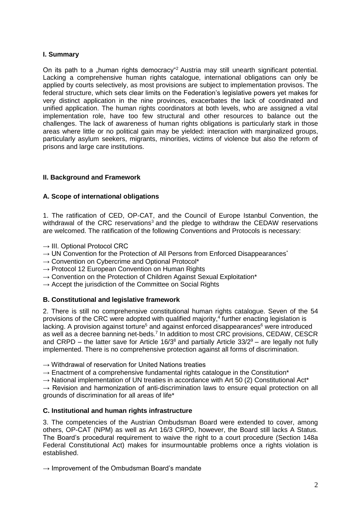#### **I. Summary**

On its path to a "human rights democracy"<sup>2</sup> Austria may still unearth significant potential. Lacking a comprehensive human rights catalogue, international obligations can only be applied by courts selectively, as most provisions are subject to implementation provisos. The federal structure, which sets clear limits on the Federation's legislative powers yet makes for very distinct application in the nine provinces, exacerbates the lack of coordinated and unified application. The human rights coordinators at both levels, who are assigned a vital implementation role, have too few structural and other resources to balance out the challenges. The lack of awareness of human rights obligations is particularly stark in those areas where little or no political gain may be yielded: interaction with marginalized groups, particularly asylum seekers, migrants, minorities, victims of violence but also the reform of prisons and large care institutions.

#### **II. Background and Framework**

#### **A. Scope of international obligations**

1. The ratification of CED, OP-CAT, and the Council of Europe Istanbul Convention, the withdrawal of the CRC reservations<sup>3</sup> and the pledge to withdraw the CEDAW reservations are welcomed. The ratification of the following Conventions and Protocols is necessary:

- $\rightarrow$  III. Optional Protocol CRC
- $\rightarrow$  UN Convention for the Protection of All Persons from Enforced Disappearances<sup>\*</sup>
- $\rightarrow$  Convention on Cybercrime and Optional Protocol\*
- $\rightarrow$  Protocol 12 European Convention on Human Rights
- $\rightarrow$  Convention on the Protection of Children Against Sexual Exploitation\*
- $\rightarrow$  Accept the jurisdiction of the Committee on Social Rights

#### **B. Constitutional and legislative framework**

2. There is still no comprehensive constitutional human rights catalogue. Seven of the 54 provisions of the CRC were adopted with qualified majority, 4 further enacting legislation is lacking. A provision against torture<sup>5</sup> and against enforced disappearances<sup>6</sup> were introduced as well as a decree banning net-beds.<sup>7</sup> In addition to most CRC provisions, CEDAW, CESCR and CRPD – the latter save for Article  $16/3^8$  and partially Article  $33/2^9$  – are legally not fully implemented. There is no comprehensive protection against all forms of discrimination.

- $\rightarrow$  Withdrawal of reservation for United Nations treaties
- $\rightarrow$  Enactment of a comprehensive fundamental rights catalogue in the Constitution<sup>\*</sup>
- → National implementation of UN treaties in accordance with Art 50 (2) Constitutional Act<sup>\*</sup>

 $\rightarrow$  Revision and harmonization of anti-discrimination laws to ensure equal protection on all grounds of discrimination for all areas of life\*

#### **C. Institutional and human rights infrastructure**

3. The competencies of the Austrian Ombudsman Board were extended to cover, among others, OP-CAT (NPM) as well as Art 16/3 CRPD, however, the Board still lacks A Status. The Board's procedural requirement to waive the right to a court procedure (Section 148a Federal Constitutional Act) makes for insurmountable problems once a rights violation is established.

 $\rightarrow$  Improvement of the Ombudsman Board's mandate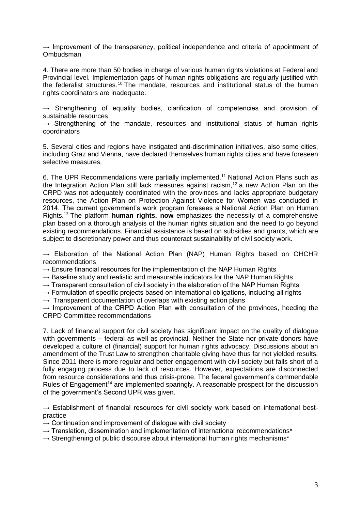$\rightarrow$  Improvement of the transparency, political independence and criteria of appointment of Ombudsman

4. There are more than 50 bodies in charge of various human rights violations at Federal and Provincial level. Implementation gaps of human rights obligations are regularly justified with the federalist structures.<sup>10</sup> The mandate, resources and institutional status of the human rights coordinators are inadequate.

 $\rightarrow$  Strengthening of equality bodies, clarification of competencies and provision of sustainable resources

 $\rightarrow$  Strengthening of the mandate, resources and institutional status of human rights coordinators

5. Several cities and regions have instigated anti-discrimination initiatives, also some cities, including Graz and Vienna, have declared themselves human rights cities and have foreseen selective measures.

6. The UPR Recommendations were partially implemented.<sup>11</sup> National Action Plans such as the Integration Action Plan still lack measures against racism,<sup>12</sup> a new Action Plan on the CRPD was not adequately coordinated with the provinces and lacks appropriate budgetary resources, the Action Plan on Protection Against Violence for Women was concluded in 2014. The current government's work program foresees a National Action Plan on Human Rights.<sup>13</sup> The platform **human rights. now** emphasizes the necessity of a comprehensive plan based on a thorough analysis of the human rights situation and the need to go beyond existing recommendations. Financial assistance is based on subsidies and grants, which are subject to discretionary power and thus counteract sustainability of civil society work.

 $\rightarrow$  Elaboration of the National Action Plan (NAP) Human Rights based on OHCHR recommendations

 $\rightarrow$  Ensure financial resources for the implementation of the NAP Human Rights

 $\rightarrow$  Baseline study and realistic and measurable indicators for the NAP Human Rights

- $\rightarrow$  Transparent consultation of civil society in the elaboration of the NAP Human Rights
- $\rightarrow$  Formulation of specific projects based on international obligations, including all rights

 $\rightarrow$  Transparent documentation of overlaps with existing action plans

 $\rightarrow$  Improvement of the CRPD Action Plan with consultation of the provinces, heeding the CRPD Committee recommendations

7. Lack of financial support for civil society has significant impact on the quality of dialogue with governments – federal as well as provincial. Neither the State nor private donors have developed a culture of (financial) support for human rights advocacy. Discussions about an amendment of the Trust Law to strengthen charitable giving have thus far not yielded results. Since 2011 there is more regular and better engagement with civil society but falls short of a fully engaging process due to lack of resources. However, expectations are disconnected from resource considerations and thus crisis-prone. The federal government's commendable Rules of Engagement<sup>14</sup> are implemented sparingly. A reasonable prospect for the discussion of the government's Second UPR was given.

 $\rightarrow$  Establishment of financial resources for civil society work based on international bestpractice

- $\rightarrow$  Continuation and improvement of dialogue with civil society
- $\rightarrow$  Translation, dissemination and implementation of international recommendations\*
- $\rightarrow$  Strengthening of public discourse about international human rights mechanisms\*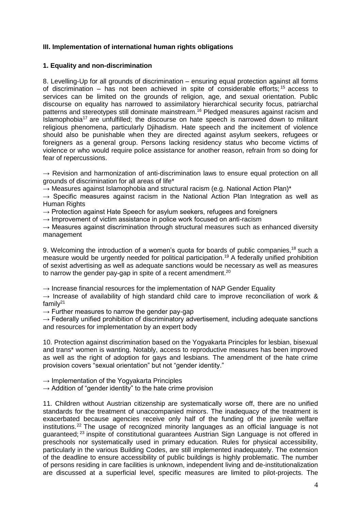#### **III. Implementation of international human rights obligations**

#### **1. Equality and non-discrimination**

8. Levelling-Up for all grounds of discrimination – ensuring equal protection against all forms of discrimination – has not been achieved in spite of considerable efforts;  $15$  access to services can be limited on the grounds of religion, age, and sexual orientation. Public discourse on equality has narrowed to assimilatory hierarchical security focus, patriarchal patterns and stereotypes still dominate mainstream.<sup>16</sup> Pledged measures against racism and Islamophobia<sup>17</sup> are unfulfilled; the discourse on hate speech is narrowed down to militant religious phenomena, particularly Djihadism. Hate speech and the incitement of violence should also be punishable when they are directed against asylum seekers, refugees or foreigners as a general group. Persons lacking residency status who become victims of violence or who would require police assistance for another reason, refrain from so doing for fear of repercussions.

 $\rightarrow$  Revision and harmonization of anti-discrimination laws to ensure equal protection on all grounds of discrimination for all areas of life\*

 $\rightarrow$  Measures against Islamophobia and structural racism (e.g. National Action Plan)\*

 $\rightarrow$  Specific measures against racism in the National Action Plan Integration as well as Human Rights

 $\rightarrow$  Protection against Hate Speech for asylum seekers, refugees and foreigners

 $\rightarrow$  Improvement of victim assistance in police work focused on anti-racism

 $\rightarrow$  Measures against discrimination through structural measures such as enhanced diversity management

9. Welcoming the introduction of a women's quota for boards of public companies.<sup>18</sup> such a measure would be urgently needed for political participation.<sup>19</sup> A federally unified prohibition of sexist advertising as well as adequate sanctions would be necessary as well as measures to narrow the gender pay-gap in spite of a recent amendment.<sup>20</sup>

 $\rightarrow$  Increase financial resources for the implementation of NAP Gender Equality

 $\rightarrow$  Increase of availability of high standard child care to improve reconciliation of work & famil $v^{21}$ 

 $\rightarrow$  Further measures to narrow the gender pay-gap

 $\rightarrow$  Federally unified prohibition of discriminatory advertisement, including adequate sanctions and resources for implementation by an expert body

10. Protection against discrimination based on the Yogyakarta Principles for lesbian, bisexual and trans\* women is wanting. Notably, access to reproductive measures has been improved as well as the right of adoption for gays and lesbians. The amendment of the hate crime provision covers "sexual orientation" but not "gender identity."

 $\rightarrow$  Implementation of the Yogyakarta Principles

 $\rightarrow$  Addition of "gender identity" to the hate crime provision

11. Children without Austrian citizenship are systematically worse off, there are no unified standards for the treatment of unaccompanied minors. The inadequacy of the treatment is exacerbated because agencies receive only half of the funding of the juvenile welfare institutions. <sup>22</sup> The usage of recognized minority languages as an official language is not guaranteed;<sup>23</sup> inspite of constitutional guarantees Austrian Sign Language is not offered in preschools nor systematically used in primary education. Rules for physical accessibility, particularly in the various Building Codes, are still implemented inadequately. The extension of the deadline to ensure accessibility of public buildings is highly problematic. The number of persons residing in care facilities is unknown, independent living and de-institutionalization are discussed at a superficial level, specific measures are limited to pilot-projects. The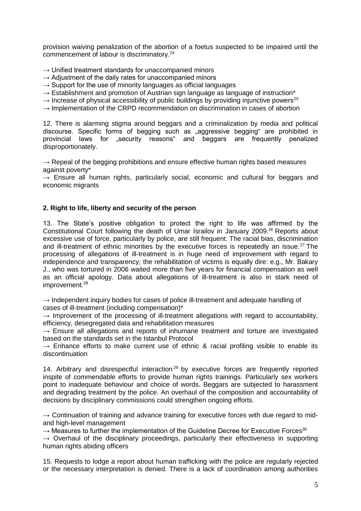provision waiving penalization of the abortion of a foetus suspected to be impaired until the commencement of labour is discriminatory.<sup>24</sup>

- $\rightarrow$  Unified treatment standards for unaccompanied minors
- $\rightarrow$  Adjustment of the daily rates for unaccompanied minors
- $\rightarrow$  Support for the use of minority languages as official languages
- → Establishment and promotion of Austrian sign language as language of instruction<sup>\*</sup>
- $\rightarrow$  Increase of physical accessibility of public buildings by providing injunctive powers<sup>25</sup>
- → Implementation of the CRPD recommendation on discrimination in cases of abortion

12. There is alarming stigma around beggars and a criminalization by media and political discourse. Specific forms of begging such as "aggressive begging" are prohibited in provincial laws for "security reasons" and beggars are frequently penalized disproportionately.

 $\rightarrow$  Repeal of the begging prohibitions and ensure effective human rights based measures against poverty\*

 $\rightarrow$  Ensure all human rights, particularly social, economic and cultural for beggars and economic migrants

#### **2. Right to life, liberty and security of the person**

13. The State's positive obligation to protect the right to life was affirmed by the Constitutional Court following the death of Umar Israilov in January 2009.<sup>26</sup> Reports about excessive use of force, particularly by police, are still frequent. The racial bias, discrimination and ill-treatment of ethnic minorities by the executive forces is repeatedly an issue.<sup>27</sup> The processing of allegations of ill-treatment is in huge need of improvement with regard to independence and transparency; the rehabilitation of victims is equally dire: e.g., Mr. Bakary J., who was tortured in 2006 waited more than five years for financial compensation as well as an official apology. Data about allegations of ill-treatment is also in stark need of improvement.<sup>28</sup>

→ Independent inquiry bodies for cases of police ill-treatment and adequate handling of cases of ill-treatment (including compensation)\*

 $\rightarrow$  Improvement of the processing of ill-treatment allegations with regard to accountability, efficiency, desegregated data and rehabilitation measures

**→** Ensure all allegations and reports of inhumane treatment and torture are investigated based on the standards set in the Istanbul Protocol

 $\rightarrow$  Enhance efforts to make current use of ethnic & racial profiling visible to enable its discontinuation

14. Arbitrary and disrespectful interaction<sup>29</sup> by executive forces are frequently reported inspite of commendable efforts to provide human rights trainings. Particularly sex workers point to inadequate behaviour and choice of words. Beggars are subjected to harassment and degrading treatment by the police. An overhaul of the composition and accountability of decisions by disciplinary commissions could strengthen ongoing efforts.

→ Continuation of training and advance training for executive forces with due regard to midand high-level management

 $\rightarrow$  Measures to further the implementation of the Guideline Decree for Executive Forces<sup>30</sup>

**→** Overhaul of the disciplinary proceedings, particularly their effectiveness in supporting human rights abiding officers

15. Requests to lodge a report about human trafficking with the police are regularly rejected or the necessary interpretation is denied. There is a lack of coordination among authorities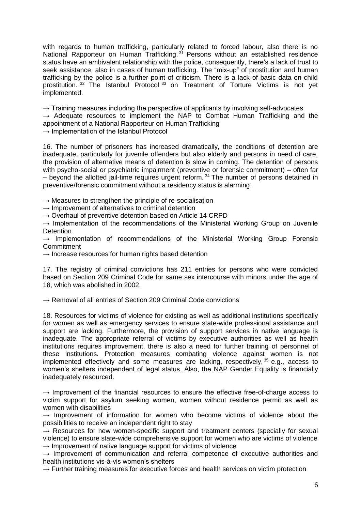with regards to human trafficking, particularly related to forced labour, also there is no National Rapporteur on Human Trafficking.<sup>31</sup> Persons without an established residence status have an ambivalent relationship with the police, consequently, there's a lack of trust to seek assistance, also in cases of human trafficking. The "mix-up" of prostitution and human trafficking by the police is a further point of criticism. There is a lack of basic data on child prostitution.<sup>32</sup> The Istanbul Protocol<sup>33</sup> on Treatment of Torture Victims is not yet implemented.

 $\rightarrow$  Training measures including the perspective of applicants by involving self-advocates

**→** Adequate resources to implement the NAP to Combat Human Trafficking and the appointment of a National Rapporteur on Human Trafficking

 $\rightarrow$  Implementation of the Istanbul Protocol

16. The number of prisoners has increased dramatically, the conditions of detention are inadequate, particularly for juvenile offenders but also elderly and persons in need of care, the provision of alternative means of detention is slow in coming. The detention of persons with psycho-social or psychiatric impairment (preventive or forensic commitment) – often far  $-$  beyond the allotted jail-time requires urgent reform.  $34$  The number of persons detained in preventive/forensic commitment without a residency status is alarming.

 $\rightarrow$  Measures to strengthen the principle of re-socialisation

 $\rightarrow$  Improvement of alternatives to criminal detention

**→** Overhaul of preventive detention based on Article 14 CRPD

 $\rightarrow$  Implementation of the recommendations of the Ministerial Working Group on Juvenile **Detention** 

 $\rightarrow$  Implementation of recommendations of the Ministerial Working Group Forensic **Commitment** 

→ Increase resources for human rights based detention

17. The registry of criminal convictions has 211 entries for persons who were convicted based on Section 209 Criminal Code for same sex intercourse with minors under the age of 18, which was abolished in 2002.

→ Removal of all entries of Section 209 Criminal Code convictions

18. Resources for victims of violence for existing as well as additional institutions specifically for women as well as emergency services to ensure state-wide professional assistance and support are lacking. Furthermore, the provision of support services in native language is inadequate. The appropriate referral of victims by executive authorities as well as health institutions requires improvement, there is also a need for further training of personnel of these institutions. Protection measures combating violence against women is not implemented effectively and some measures are lacking, respectively,  $35$  e.g., access to women's shelters independent of legal status. Also, the NAP Gender Equality is financially inadequately resourced.

 $\rightarrow$  Improvement of the financial resources to ensure the effective free-of-charge access to victim support for asylum seeking women, women without residence permit as well as women with disabilities

 $\rightarrow$  Improvement of information for women who become victims of violence about the possibilities to receive an independent right to stay

 $\rightarrow$  Resources for new women-specific support and treatment centers (specially for sexual violence) to ensure state-wide comprehensive support for women who are victims of violence  $\rightarrow$  Improvement of native language support for victims of violence

→ Improvement of communication and referral competence of executive authorities and health institutions vis-à-vis women's shelters

**→** Further training measures for executive forces and health services on victim protection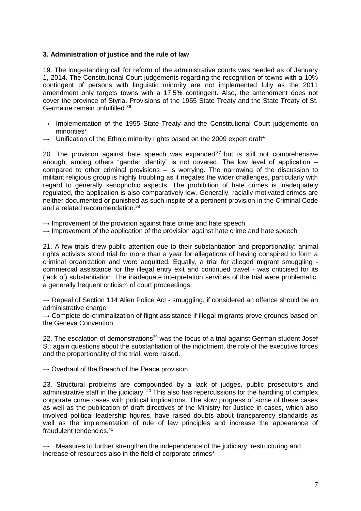#### **3. Administration of justice and the rule of law**

19. The long-standing call for reform of the administrative courts was heeded as of January 1, 2014. The Constitutional Court judgements regarding the recognition of towns with a 10% contingent of persons with linguistic minority are not implemented fully as the 2011 amendment only targets towns with a 17,5% contingent. Also, the amendment does not cover the province of Styria. Provisions of the 1955 State Treaty and the State Treaty of St. Germaine remain unfulfilled. 36

- → Implementation of the 1955 State Treaty and the Constitutional Court judgements on minorities\*
- Unification of the Ethnic minority rights based on the 2009 expert draft\*

20. The provision against hate speech was expanded  $37$  but is still not comprehensive enough, among others "gender identity" is not covered. The low level of application – compared to other criminal provisions – is worrying. The narrowing of the discussion to militant religious group is highly troubling as it negates the wider challenges, particularly with regard to generally xenophobic aspects. The prohibition of hate crimes is inadequately regulated, the application is also comparatively low. Generally, racially motivated crimes are neither documented or punished as such inspite of a pertinent provision in the Criminal Code and a related recommendation.<sup>38</sup>

 $\rightarrow$  Improvement of the provision against hate crime and hate speech

 $\rightarrow$  Improvement of the application of the provision against hate crime and hate speech

21. A few trials drew public attention due to their substantiation and proportionality: animal rights activists stood trial for more than a year for allegations of having conspired to form a criminal organization and were acquitted. Equally, a trial for alleged migrant smuggling commercial assistance for the illegal entry exit and continued travel - was criticised for its (lack of) substantiation. The inadequate interpretation services of the trial were problematic, a generally frequent criticism of court proceedings.

→ Repeal of Section 114 Alien Police Act - smuggling, if considered an offence should be an administrative charge

 $\rightarrow$  Complete de-criminalization of flight assistance if illegal migrants prove grounds based on the Geneva Convention

22. The escalation of demonstrations<sup>39</sup> was the focus of a trial against German student Josef S.; again questions about the substantiation of the indictment, the role of the executive forces and the proportionality of the trial, were raised.

 $\rightarrow$  Overhaul of the Breach of the Peace provision

23. Structural problems are compounded by a lack of judges, public prosecutors and administrative staff in the judiciary. <sup>40</sup> This also has repercussions for the handling of complex corporate crime cases with political implications. The slow progress of some of these cases as well as the publication of draft directives of the Ministry for Justice in cases, which also involved political leadership figures, have raised doubts about transparency standards as well as the implementation of rule of law principles and increase the appearance of fraudulent tendencies.<sup>41</sup>

**→** Measures to further strengthen the independence of the judiciary, restructuring and increase of resources also in the field of corporate crimes\*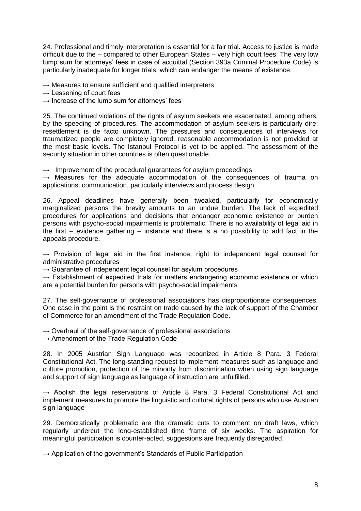24. Professional and timely interpretation is essential for a fair trial. Access to justice is made difficult due to the – compared to other European States – very high court fees. The very low lump sum for attorneys' fees in case of acquittal (Section 393a Criminal Procedure Code) is particularly inadequate for longer trials, which can endanger the means of existence.

 $\rightarrow$  Measures to ensure sufficient and qualified interpreters

 $\rightarrow$  Lessening of court fees

 $\rightarrow$  Increase of the lump sum for attorneys' fees

25. The continued violations of the rights of asylum seekers are exacerbated, among others, by the speeding of procedures. The accommodation of asylum seekers is particularly dire; resettlement is de facto unknown. The pressures and consequences of interviews for traumatized people are completely ignored, reasonable accommodation is not provided at the most basic levels. The Istanbul Protocol is yet to be applied. The assessment of the security situation in other countries is often questionable.

 $\rightarrow$  Improvement of the procedural guarantees for asylum proceedings

 $\rightarrow$  Measures for the adequate accommodation of the consequences of trauma on applications, communication, particularly interviews and process design

26. Appeal deadlines have generally been tweaked, particularly for economically marginalized persons the brevity amounts to an undue burden. The lack of expedited procedures for applications and decisions that endanger economic existence or burden persons with psycho-social impairments is problematic. There is no availability of legal aid in the first – evidence gathering – instance and there is a no possibility to add fact in the appeals procedure.

 $\rightarrow$  Provision of legal aid in the first instance, right to independent legal counsel for administrative procedures

 $\rightarrow$  Guarantee of independent legal counsel for asylum procedures

 $\rightarrow$  Establishment of expedited trials for matters endangering economic existence or which are a potential burden for persons with psycho-social impairments

27. The self-governance of professional associations has disproportionate consequences. One case in the point is the restraint on trade caused by the lack of support of the Chamber of Commerce for an amendment of the Trade Regulation Code.

 $\rightarrow$  Overhaul of the self-governance of professional associations

 $\rightarrow$  Amendment of the Trade Regulation Code

28. In 2005 Austrian Sign Language was recognized in Article 8 Para. 3 Federal Constitutional Act. The long-standing request to implement measures such as language and culture promotion, protection of the minority from discrimination when using sign language and support of sign language as language of instruction are unfulfilled.

 $\rightarrow$  Abolish the legal reservations of Article 8 Para. 3 Federal Constitutional Act and implement measures to promote the linguistic and cultural rights of persons who use Austrian sign language

29. Democratically problematic are the dramatic cuts to comment on draft laws, which regularly undercut the long-established time frame of six weeks. The aspiration for meaningful participation is counter-acted, suggestions are frequently disregarded.

 $\rightarrow$  Application of the government's Standards of Public Participation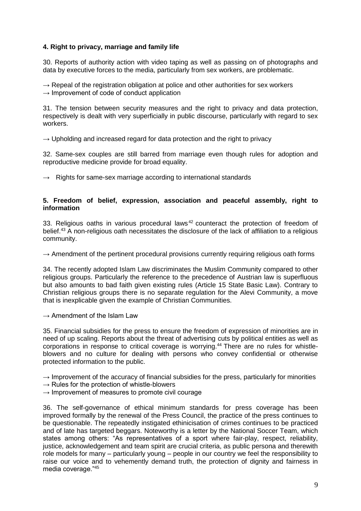#### **4. Right to privacy, marriage and family life**

30. Reports of authority action with video taping as well as passing on of photographs and data by executive forces to the media, particularly from sex workers, are problematic.

 $\rightarrow$  Repeal of the registration obligation at police and other authorities for sex workers  $\rightarrow$  Improvement of code of conduct application

31. The tension between security measures and the right to privacy and data protection, respectively is dealt with very superficially in public discourse, particularly with regard to sex workers.

 $\rightarrow$  Upholding and increased regard for data protection and the right to privacy

32. Same-sex couples are still barred from marriage even though rules for adoption and reproductive medicine provide for broad equality.

 $\rightarrow$  Rights for same-sex marriage according to international standards

#### **5. Freedom of belief, expression, association and peaceful assembly, right to information**

33. Religious oaths in various procedural laws  $42$  counteract the protection of freedom of belief.<sup>43</sup> A non-religious oath necessitates the disclosure of the lack of affiliation to a religious community.

 $\rightarrow$  Amendment of the pertinent procedural provisions currently requiring religious oath forms

34. The recently adopted Islam Law discriminates the Muslim Community compared to other religious groups. Particularly the reference to the precedence of Austrian law is superfluous but also amounts to bad faith given existing rules (Article 15 State Basic Law). Contrary to Christian religious groups there is no separate regulation for the Alevi Community, a move that is inexplicable given the example of Christian Communities.

#### $\rightarrow$  Amendment of the Islam Law

35. Financial subsidies for the press to ensure the freedom of expression of minorities are in need of up scaling. Reports about the threat of advertising cuts by political entities as well as corporations in response to critical coverage is worrying. <sup>44</sup> There are no rules for whistleblowers and no culture for dealing with persons who convey confidential or otherwise protected information to the public.

 $\rightarrow$  Improvement of the accuracy of financial subsidies for the press, particularly for minorities

- $\rightarrow$  Rules for the protection of whistle-blowers
- $\rightarrow$  Improvement of measures to promote civil courage

36. The self-governance of ethical minimum standards for press coverage has been improved formally by the renewal of the Press Council, the practice of the press continues to be questionable. The repeatedly instigated ethinicisation of crimes continues to be practiced and of late has targeted beggars. Noteworthy is a letter by the National Soccer Team, which states among others: "As representatives of a sport where fair-play, respect, reliability, justice, acknowledgement and team spirit are crucial criteria, as public persona and therewith role models for many – particularly young – people in our country we feel the responsibility to raise our voice and to vehemently demand truth, the protection of dignity and fairness in media coverage."45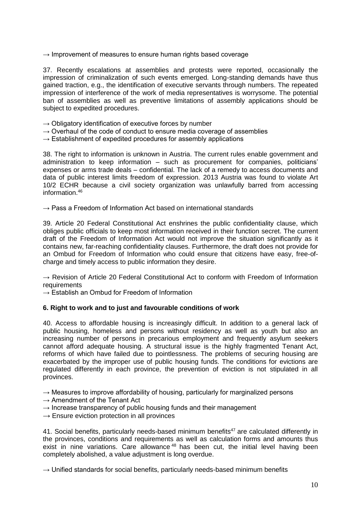$\rightarrow$  Improvement of measures to ensure human rights based coverage

37. Recently escalations at assemblies and protests were reported, occasionally the impression of criminalization of such events emerged. Long-standing demands have thus gained traction, e.g., the identification of executive servants through numbers. The repeated impression of interference of the work of media representatives is worrysome. The potential ban of assemblies as well as preventive limitations of assembly applications should be subject to expedited procedures.

- $\rightarrow$  Obligatory identification of executive forces by number
- $\rightarrow$  Overhaul of the code of conduct to ensure media coverage of assemblies
- $\rightarrow$  Establishment of expedited procedures for assembly applications

38. The right to information is unknown in Austria. The current rules enable government and administration to keep information – such as procurement for companies, politicians' expenses or arms trade deals – confidential. The lack of a remedy to access documents and data of public interest limits freedom of expression. 2013 Austria was found to violate Art 10/2 ECHR because a civil society organization was unlawfully barred from accessing information.<sup>46</sup>

 $\rightarrow$  Pass a Freedom of Information Act based on international standards

39. Article 20 Federal Constitutional Act enshrines the public confidentiality clause, which obliges public officials to keep most information received in their function secret. The current draft of the Freedom of Information Act would not improve the situation significantly as it contains new, far-reaching confidentiality clauses. Furthermore, the draft does not provide for an Ombud for Freedom of Information who could ensure that citizens have easy, free-ofcharge and timely access to public information they desire.

 $\rightarrow$  Revision of Article 20 Federal Constitutional Act to conform with Freedom of Information requirements

 $\rightarrow$  Establish an Ombud for Freedom of Information

#### **6. Right to work and to just and favourable conditions of work**

40. Access to affordable housing is increasingly difficult. In addition to a general lack of public housing, homeless and persons without residency as well as youth but also an increasing number of persons in precarious employment and frequently asylum seekers cannot afford adequate housing. A structural issue is the highly fragmented Tenant Act, reforms of which have failed due to pointlessness. The problems of securing housing are exacerbated by the improper use of public housing funds. The conditions for evictions are regulated differently in each province, the prevention of eviction is not stipulated in all provinces.

 $\rightarrow$  Measures to improve affordability of housing, particularly for marginalized persons

- $\rightarrow$  Amendment of the Tenant Act
- $\rightarrow$  Increase transparency of public housing funds and their management
- → Ensure eviction protection in all provinces

41. Social benefits, particularly needs-based minimum benefits<sup>47</sup> are calculated differently in the provinces, conditions and requirements as well as calculation forms and amounts thus exist in nine variations. Care allowance<sup>48</sup> has been cut, the initial level having been completely abolished, a value adjustment is long overdue.

 $\rightarrow$  Unified standards for social benefits, particularly needs-based minimum benefits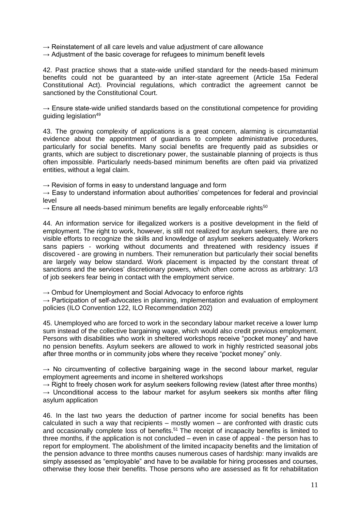- $\rightarrow$  Reinstatement of all care levels and value adjustment of care allowance
- $\rightarrow$  Adjustment of the basic coverage for refugees to minimum benefit levels

42. Past practice shows that a state-wide unified standard for the needs-based minimum benefits could not be guaranteed by an inter-state agreement (Article 15a Federal Constitutional Act). Provincial regulations, which contradict the agreement cannot be sanctioned by the Constitutional Court.

 $\rightarrow$  Ensure state-wide unified standards based on the constitutional competence for providing guiding legislation<sup>49</sup>

43. The growing complexity of applications is a great concern, alarming is circumstantial evidence about the appointment of guardians to complete administrative procedures, particularly for social benefits. Many social benefits are frequently paid as subsidies or grants, which are subject to discretionary power, the sustainable planning of projects is thus often impossible. Particularly needs-based minimum benefits are often paid via privatized entities, without a legal claim.

 $\rightarrow$  Revision of forms in easy to understand language and form

 $\rightarrow$  Easy to understand information about authorities' competences for federal and provincial level

 $\rightarrow$  Ensure all needs-based minimum benefits are legally enforceable rights<sup>50</sup>

44. An information service for illegalized workers is a positive development in the field of employment. The right to work, however, is still not realized for asylum seekers, there are no visible efforts to recognize the skills and knowledge of asylum seekers adequately. Workers sans papiers - working without documents and threatened with residency issues if discovered - are growing in numbers. Their remuneration but particularly their social benefits are largely way below standard. Work placement is impacted by the constant threat of sanctions and the services' discretionary powers, which often come across as arbitrary: 1/3 of job seekers fear being in contact with the employment service.

 $\rightarrow$  Ombud for Unemployment and Social Advocacy to enforce rights

 $\rightarrow$  Participation of self-advocates in planning, implementation and evaluation of employment policies (ILO Convention 122, ILO Recommendation 202)

45. Unemployed who are forced to work in the secondary labour market receive a lower lump sum instead of the collective bargaining wage, which would also credit previous employment. Persons with disabilities who work in sheltered workshops receive "pocket money" and have no pension benefits. Asylum seekers are allowed to work in highly restricted seasonal jobs after three months or in community jobs where they receive "pocket money" only.

 $\rightarrow$  No circumventing of collective bargaining wage in the second labour market, regular employment agreements and income in sheltered workshops

 $\rightarrow$  Right to freely chosen work for asylum seekers following review (latest after three months)  $\rightarrow$  Unconditional access to the labour market for asylum seekers six months after filing asylum application

46. In the last two years the deduction of partner income for social benefits has been calculated in such a way that recipients – mostly women – are confronted with drastic cuts and occasionally complete loss of benefits.<sup>51</sup> The receipt of incapacity benefits is limited to three months, if the application is not concluded – even in case of appeal - the person has to report for employment. The abolishment of the limited incapacity benefits and the limitation of the pension advance to three months causes numerous cases of hardship: many invalids are simply assessed as "employable" and have to be available for hiring processes and courses, otherwise they loose their benefits. Those persons who are assessed as fit for rehabilitation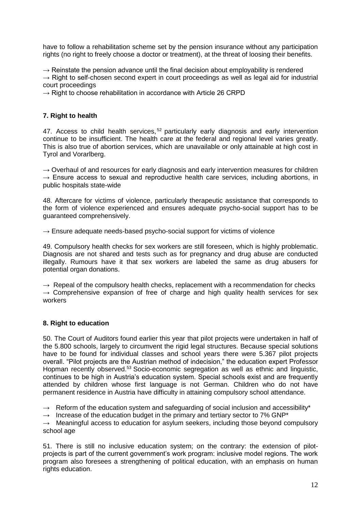have to follow a rehabilitation scheme set by the pension insurance without any participation rights (no right to freely choose a doctor or treatment), at the threat of loosing their benefits.

 $\rightarrow$  Reinstate the pension advance until the final decision about employability is rendered

 $\rightarrow$  Right to self-chosen second expert in court proceedings as well as legal aid for industrial court proceedings

 $\rightarrow$  Right to choose rehabilitation in accordance with Article 26 CRPD

#### **7. Right to health**

47. Access to child health services, <sup>52</sup> particularly early diagnosis and early intervention continue to be insufficient. The health care at the federal and regional level varies greatly. This is also true of abortion services, which are unavailable or only attainable at high cost in Tyrol and Vorarlberg.

 $\rightarrow$  Overhaul of and resources for early diagnosis and early intervention measures for children  $\rightarrow$  Ensure access to sexual and reproductive health care services, including abortions, in public hospitals state-wide

48. Aftercare for victims of violence, particularly therapeutic assistance that corresponds to the form of violence experienced and ensures adequate psycho-social support has to be guaranteed comprehensively.

 $\rightarrow$  Ensure adequate needs-based psycho-social support for victims of violence

49. Compulsory health checks for sex workers are still foreseen, which is highly problematic. Diagnosis are not shared and tests such as for pregnancy and drug abuse are conducted illegally. Rumours have it that sex workers are labeled the same as drug abusers for potential organ donations.

 $\rightarrow$  Repeal of the compulsory health checks, replacement with a recommendation for checks  $\rightarrow$  Comprehensive expansion of free of charge and high quality health services for sex workers

#### **8. Right to education**

50. The Court of Auditors found earlier this year that pilot projects were undertaken in half of the 5.800 schools, largely to circumvent the rigid legal structures. Because special solutions have to be found for individual classes and school years there were 5.367 pilot projects overall. "Pilot projects are the Austrian method of indecision," the education expert Professor Hopman recently observed.<sup>53</sup> Socio-economic segregation as well as ethnic and linguistic. continues to be high in Austria's education system. Special schools exist and are frequently attended by children whose first language is not German. Children who do not have permanent residence in Austria have difficulty in attaining compulsory school attendance.

→ Reform of the education system and safeguarding of social inclusion and accessibility<sup>\*</sup>

 $\rightarrow$  Increase of the education budget in the primary and tertiary sector to 7% GNP<sup>\*</sup>

 $\rightarrow$  Meaningful access to education for asylum seekers, including those beyond compulsory school age

51. There is still no inclusive education system; on the contrary: the extension of pilotprojects is part of the current government's work program: inclusive model regions. The work program also foresees a strengthening of political education, with an emphasis on human rights education.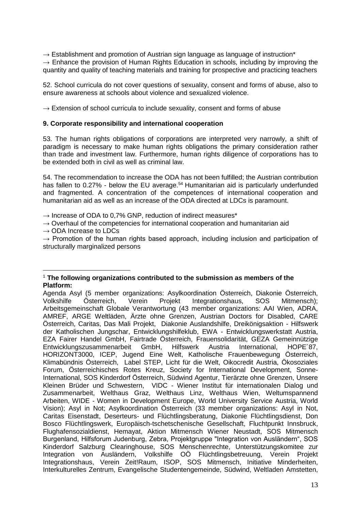**→** Establishment and promotion of Austrian sign language as language of instruction\*

**→** Enhance the provision of Human Rights Education in schools, including by improving the quantity and quality of teaching materials and training for prospective and practicing teachers

52. School curricula do not cover questions of sexuality, consent and forms of abuse, also to ensure awareness at schools about violence and sexualized violence.

**→** Extension of school curricula to include sexuality, consent and forms of abuse

#### **9. Corporate responsibility and international cooperation**

53. The human rights obligations of corporations are interpreted very narrowly, a shift of paradigm is necessary to make human rights obligations the primary consideration rather than trade and investment law. Furthermore, human rights diligence of corporations has to be extended both in civil as well as criminal law.

54. The recommendation to increase the ODA has not been fulfilled; the Austrian contribution has fallen to 0.27% - below the EU average.<sup>54</sup> Humanitarian aid is particularly underfunded and fragmented. A concentration of the competences of international cooperation and humanitarian aid as well as an increase of the ODA directed at LDCs is paramount.

**→** Increase of ODA to 0,7% GNP, reduction of indirect measures\*

 $\rightarrow$  Overhaul of the competencies for international cooperation and humanitarian aid

**→** ODA Increase to LDCs

 $\overline{a}$ 

 $\rightarrow$  Promotion of the human rights based approach, including inclusion and participation of structurally marginalized persons

<sup>1</sup> **The following organizations contributed to the submission as members of the Platform:**

Agenda Asyl (5 member organizations: Asylkoordination Österreich, Diakonie Österreich, Volkshilfe Österreich, Verein Projekt Integrationshaus, SOS Mitmensch); Arbeitsgemeinschaft Globale Verantwortung (43 member organizations: AAI Wien, ADRA, AMREF, ARGE Weltläden, Ärzte ohne Grenzen, Austrian Doctors for Disabled, CARE Österreich, Caritas, Das Mali Projekt, Diakonie Auslandshilfe, Dreikönigsaktion - Hilfswerk der Katholischen Jungschar, Entwicklungshilfeklub, EWA - Entwicklungswerkstatt Austria, EZA Fairer Handel GmbH, Fairtrade Österreich, Frauensolidarität, GEZA Gemeinnützige Entwicklungszusammenarbeit GmbH, Hilfswerk Austria International, HOPE´87, HORIZONT3000, ICEP, Jugend Eine Welt, Katholische Frauenbewegung Österreich, Klimabündnis Österreich, Label STEP, Licht für die Welt, Oikocredit Austria, Ökosoziales Forum, Österreichisches Rotes Kreuz, Society for International Development, Sonne-International, SOS Kinderdorf Österreich, Südwind Agentur, Tierärzte ohne Grenzen, Unsere Kleinen Brüder und Schwestern, VIDC - Wiener Institut für internationalen Dialog und Zusammenarbeit, Welthaus Graz, Welthaus Linz, Welthaus Wien, Weltumspannend Arbeiten, WIDE - Women in Development Europe, World University Service Austria, World Vision); Asyl in Not; Asylkoordination Österreich (33 member organizations: Asyl in Not, Caritas Eisenstadt, Deserteurs- und Flüchtlingsberatung, Diakonie Flüchtlingsdienst, Don Bosco Flüchtlingswerk, Europäisch-tschetschenische Gesellschaft, Fluchtpunkt Innsbruck, Flughafensozialdienst, Hemayat, Aktion Mitmensch Wiener Neustadt, SOS Mitmensch Burgenland, Hilfsforum Judenburg, Zebra, Projektgruppe "Integration von Ausländern", SOS Kinderdorf Salzburg Clearinghouse, SOS Menschenrechte, Unterstützungskomitee zur Integration von Ausländern, Volkshilfe OÖ Flüchtlingsbetreuung, Verein Projekt Integrationshaus, Verein Zeit!Raum, ISOP, SOS Mitmensch, Initiative Minderheiten, Interkulturelles Zentrum, Evangelische Studentengemeinde, Südwind, Weltladen Amstetten,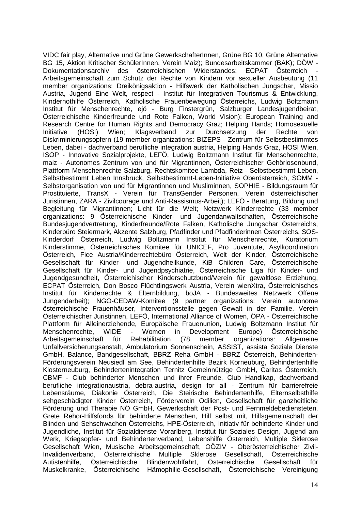-VIDC fair play, Alternative und Grüne GewerkschafterInnen, Grüne BG 10, Grüne Alternative BG 15, Aktion Kritischer SchülerInnen, Verein Maiz); Bundesarbeitskammer (BAK); [DÖW -](http://www.google.at/url?sa=t&source=web&cd=1&ved=0CBUQFjAA&url=http%3A%2F%2Fwww.doew.at%2F&ei=9aw1TL7LJ9SgOOiBxfkE&usg=AFQjCNFle6d-O5JKxYPO_AHRrADtqZ7ANw)<br>Dokumentationsarchiv des österreichischen Widerstandes: ECPAT Österreich österreichischen Widerstandes: Arbeitsgemeinschaft zum Schutz der Rechte von Kindern vor sexueller Ausbeutung (11 member organizations: [Dreikönigsaktion](http://www.ecpat.at/index.php?id=mitglieder_ecpat_oes#c22) - Hilfswerk der Katholischen Jungschar, [Missio](http://www.ecpat.at/index.php?id=mitglieder_ecpat_oes#c26)  [Austria,](http://www.ecpat.at/index.php?id=mitglieder_ecpat_oes#c26) [Jugend Eine Welt,](http://www.ecpat.at/index.php?id=mitglieder_ecpat_oes#c30) respect - [Institut für Integrativen Tourismus & Entwicklung,](http://www.ecpat.at/index.php?id=mitglieder_ecpat_oes#c23)  [Kindernothilfe Österreich, Katholische Frauenbewegung Österreichs,](http://www.ecpat.at/index.php?id=mitglieder_ecpat_oes#c28) [Ludwig Boltzmann](http://www.ecpat.at/index.php?id=mitglieder_ecpat_oes#c27)  [Institut für Menschenrechte,](http://www.ecpat.at/index.php?id=mitglieder_ecpat_oes#c27) ejö - [Burg Finstergrün,](http://www.ecpat.at/index.php?id=mitglieder_ecpat_oes#c110) [Salzburger Landesjugendbeirat,](http://www.ecpat.at/index.php?id=mitglieder_ecpat_oes#c117) [Österreichische Kinderfreunde und Rote Falken,](http://www.ecpat.at/index.php?id=mitglieder_ecpat_oes#c25) [World Vision\)](http://www.ecpat.at/index.php?id=mitglieder_ecpat_oes#c176); European Training and Research Centre for Human Rights and Democracy Graz; Helping Hands; Homosexuelle<br>Initiative (HOSI) Wien; Klagsverband zur Durchsetzung der Rechte von Initiative (HOSI) Wien; Klagsverband zur Durchsetzung der Rechte Diskriminierungsopfern (19 member organizations: BIZEPS - [Zentrum für Selbstbestimmtes](http://www.bizeps.at/)  [Leben,](http://www.bizeps.at/) dabei - [dachverband berufliche integration austria,](http://www.dabei-austria.at/) [Helping Hands Graz,](http://helpinghands.htu.tugraz.at/) [HOSI Wien,](http://www.hosiwien.at/) ISOP - [Innovative Sozialprojekte,](http://www.isop.at/) [LEFÖ,](http://www.lefoe.at/) [Ludwig Boltzmann Institut für Menschenrechte,](http://www.univie.ac.at/bim/) maiz - [Autonomes Zentrum von und für Migrantinnen,](http://www.maiz.at/) [Österreichischer Gehörlosenbund,](http://www.oeglb.at/) [Plattform Menschenrechte Salzburg,](http://www.menschenrechte-salzburg.at/) [Rechtskomitee Lambda,](http://www.rklambda.at/) Reiz - [Selbstbestimmt Leben,](http://www.reiz.at/) [Selbstbestimmt Leben Innsbruck,](http://www.selbstbestimmt-leben.net/) [Selbstbestimmt-Leben-Initiative Oberösterreich,](http://www.sli-ooe.at/) [SOMM](http://www.somm.at/) - [Selbstorganisation von und für Migrantinnen und Musliminnen,](http://www.somm.at/) SOPHIE - [Bildungsraum für](http://de.sophie.or.at/)  [Prostituierte,](http://de.sophie.or.at/) TransX - [Verein für TransGender Personen,](http://transx.transgender.at/) [Verein österreichischer](http://www.juristinnen.at/)  [Juristinnen,](http://www.juristinnen.at/) ZARA - [Zivilcourage und Anti-Rassismus-Arbeit\)](http://www.zara.or.at/); LEFÖ - Beratung, Bildung und Begleitung für Migrantinnen; Licht für die Welt; Netzwerk Kinderrechte (33 member organizations: 9 Österreichische Kinder- und Jugendanwaltschaften, Österreichische Bundesjugendvertretung, Kinderfreunde/Rote Falken, Katholische Jungschar Österreichs, Kinderbüro Steiermark, Akzente Salzburg, Pfadfinder und Pfadfinderinnen Österreichs, SOS-Kinderdorf Österreich, Ludwig Boltzmann Institut für Menschenrechte, Kuratorium Kinderstimme, Österreichisches Komitee für UNICEF, Pro Juventute, Asylkoordination Österreich, Fice Austria/Kinderrechtebüro Österreich, Welt der Kinder, Österreichische Gesellschaft für Kinder- und Jugendheilkunde, KiB Children Care, Österreichische Gesellschaft für Kinder- und Jugendpsychiatrie, Österreichische Liga für Kinder- und Jugendgesundheit, Österreichischer Kinderschutzbund/Verein für gewaltlose Erziehung, ECPAT Österreich, Don Bosco Flüchtlingswerk Austria, Verein wienXtra, Österreichisches Institut für Kinderrechte & Elternbildung, boJA - Bundesweites Netzwerk Offene Jungendarbeit); NGO-CEDAW-Komitee (9 partner organizations: Verein autonome österreichische Frauenhäuser, Interventionsstelle gegen Gewalt in der Familie, Verein Österreichischer Juristinnen, LEFÖ, International Alliance of Women, ÖPA - Österreichische Plattform für Alleinerziehende, Europäische Frauenunion, Ludwig Boltzmann Institut für Menschenrechte, WIDE - Women in Development Europe) Österreichische Arbeitsgemeinschaft für Rehabilitation (78 member organizations: Allgemeine Unfallversicherungsanstalt, Ambulatorium Sonnenschein, ASSIST, assista Soziale Dienste GmbH, Balance, Bandgesellschaft, BBRZ Reha GmbH - BBRZ Österreich, Behinderten-Förderungsverein Neusiedl am See, Behindertenhilfe Bezirk Korneuburg, Behindertenhilfe Klosterneuburg, Behindertenintegration Ternitz Gemeinnützige GmbH, Caritas Österreich, CBMF - Club behinderter Menschen und ihrer Freunde, Club Handikap, dachverband berufliche integrationaustria, debra-austria, design for all - Zentrum für barrierefreie Lebensräume, Diakonie Österreich, Die Steirische Behindertenhilfe, Elternselbsthilfe sehgeschädigter Kinder Österreich, Förderverein Odilien, Gesellschaft für ganzheitliche Förderung und Therapie NÖ GmbH, Gewerkschaft der Post- und Fernmeldebediensteten, Grete Rehor-Hilfsfonds für behinderte Menschen, Hilf selbst mit, Hilfsgemeinschaft der Blinden und Sehschwachen Österreichs, HPE-Österreich, Initiativ für behinderte Kinder und Jugendliche, Institut für Sozialdienste Vorarlberg, Institut für Soziales Design, Jugend am Werk, Kriegsopfer- und Behindertenverband, Lebenshilfe Österreich, Multiple Sklerose Gesellschaft Wien, Musische Arbeitsgemeinschaft, OÖZIV - Oberösterreichischer Zivil-Invalidenverband, Österreichische Multiple Sklerose Gesellschaft, Österreichische Autistenhilfe, Österreichische Blindenwohlfahrt, Österreichische Gesellschaft für Muskelkranke, Österreichische Hämophilie-Gesellschaft, Österreichische Vereinigung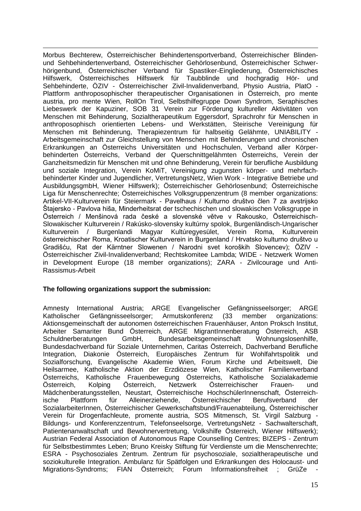-Morbus Bechterew, Österreichischer Behindertensportverband, Österreichischer Blindenund Sehbehindertenverband, Österreichischer Gehörlosenbund, Österreichischer Schwerhörigenbund, Österreichischer Verband für Spastiker-Eingliederung, Österreichisches Hilfswerk, Österreichisches Hilfswerk für Taubblinde und hochgradig Hör- und Sehbehinderte, ÖZIV - Österreichischer Zivil-Invalidenverband, Physio Austria, PlatO - Plattform anthroposophischer therapeutischer Organisationen in Österreich, pro mente austria, pro mente Wien, RollOn Tirol, Selbsthilfegruppe Down Syndrom, Seraphisches Liebeswerk der Kapuziner, SOB 31 Verein zur Förderung kultureller Aktivitäten von Menschen mit Behinderung, Sozialtherapeutikum Eggersdorf, Sprachrohr für Menschen in anthroposophisch orientierten Lebens- und Werkstätten, Steirische Vereinigung für Menschen mit Behinderung, Therapiezentrum für halbseitig Gelähmte, UNIABILITY - Arbeitsgemeinschaft zur Gleichstellung von Menschen mit Behinderungen und chronischen Erkrankungen an Österreichs Universitäten und Hochschulen, Verband aller Körperbehinderten Österreichs, Verband der Querschnittgelähmten Österreichs, Verein der Ganzheitsmedizin für Menschen mit und ohne Behinderung, Verein für berufliche Ausbildung und soziale Integration, Verein KoMiT, Vereinigung zugunsten körper- und mehrfachbehinderter Kinder und Jugendlicher, VertretungsNetz, Wien Work - Integrative Betriebe und AusbildungsgmbH, Wiener Hilfswerk); Österreichischer Gehörlosenbund; Österreichische Liga für Menschenrechte; Österreichisches Volksgruppenzentrum (8 member organizations: Artikel-VII-Kulturverein für Steiermark - Pavelhaus / Kulturno društvo člen 7 za avstrijsko Štajersko - Pavlova hiša, Minderheitsrat der tschechischen und slowakischen Volksgruppe in Österreich / Menšinová rada české a slovenské větve v Rakousko, Österreichisch-Slowakischer Kulturverein / Rakúsko-slovensky kultúrny spolok, Burgenländisch-Ungarischer Kulturverein / Burgenlandi Magyar Kultúregyesület, Verein Roma, Kulturverein österreichischer Roma, Kroatischer Kulturverein in Burgenland / Hrvatsko kulturno društvo u Gradišću, Rat der Kärntner Slowenen / Narodni svet koroških Slovencev); ÖZIV - Österreichischer Zivil-Invalidenverband; Rechtskomitee Lambda; WIDE - Netzwerk Women in Development Europe (18 member organizations); ZARA - Zivilcourage und Anti-Rassismus-Arbeit

#### **The following organizations support the submission:**

Amnesty International Austria; ARGE Evangelischer Gefängnisseelsorger; ARGE Katholischer Gefängnisseelsorger; Armutskonferenz (33 member organizations: Aktionsgemeinschaft der autonomen österreichischen Frauenhäuser, Anton Proksch Institut, Arbeiter Samariter Bund Österreich, ARGE MigrantInnenberatung Österreich, ASB Schuldnerberatungen GmbH, Bundesarbeitsgemeinschaft Wohnungslosenhilfe, Bundesdachverband für Soziale Unternehmen, Caritas Österreich, Dachverband Berufliche Integration, Diakonie Österreich, Europäisches Zentrum für Wohlfahrtspolitik und Sozialforschung, Evangelische Akademie Wien, Forum Kirche und Arbeitswelt, Die Heilsarmee, Katholische Aktion der Erzdiözese Wien, Katholischer Familienverband Österreichs, Katholische Frauenbewegung Österreichs, Katholische Sozialakademie Österreich, Kolping Österreich, Netzwerk Österreichischer Frauen- und Mädchenberatungsstellen, Neustart, Österreichische HochschülerInnenschaft, Österreichische Plattform für Alleinerziehende, Österreichischer Berufsverband der SozialarbeiterInnen, Österreichischer Gewerkschaftsbund/Frauenabteilung, Österreichischer Verein für Drogenfachleute, promente austria, SOS Mitmensch, St. Virgil Salzburg - Bildungs- und Konferenzzentrum, Telefonseelsorge, VertretungsNetz - Sachwalterschaft, Patientenanwaltschaft und Bewohnervertretung, Volkshilfe Österreich, Wiener Hilfswerk); Austrian Federal Association of Autonomous Rape Counselling Centres; BIZEPS - Zentrum für Selbstbestimmtes Leben; Bruno Kreisky Stiftung für Verdienste um die Menschenrechte; ESRA - Psychosoziales Zentrum. Zentrum für psychosoziale, sozialtherapeutische und soziokulturelle Integration. Ambulanz für Spätfolgen und Erkrankungen des Holocaust- und Migrations-Syndroms; FIAN Österreich; Forum Informationsfreiheit ; GrüZe -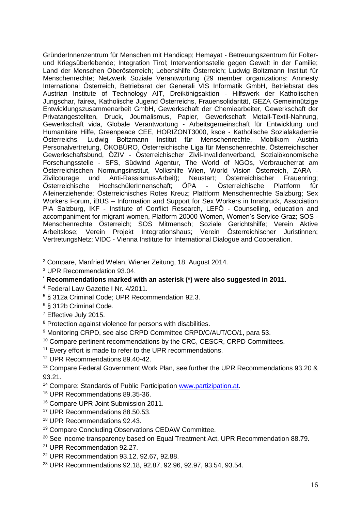-GründerInnenzentrum für Menschen mit Handicap; Hemayat - Betreuungszentrum für Folterund Kriegsüberlebende; Integration Tirol; Interventionsstelle gegen Gewalt in der Familie; Land der Menschen Oberösterreich; Lebenshilfe Österreich; Ludwig Boltzmann Institut für Menschenrechte; Netzwerk Soziale Verantwortung (29 member organizations: [Amnesty](http://www.amnesty.at/)  [International Österreich,](http://www.amnesty.at/) [Betriebsrat der Generali VIS Informatik GmbH,](http://www.generali.at/) [Betriebsrat des](http://www.ait.ac.at/about/about_aufsichtsrat_de.html)  [Austrian Institute of Technology AIT,](http://www.ait.ac.at/about/about_aufsichtsrat_de.html) Dreikönigsaktion - Hilfswerk der Katholischen Jungschar, [fairea,](http://www.fairea.eu/) [Katholische Jugend Österreichs,](http://katholische-jugend.at/) [Frauensolidarität,](http://www.frauensolidaritaet.org/) [GEZA Gemeinnützige](http://www.geza.at/)  [Entwicklungszusammenarbeit GmbH,](http://www.geza.at/) [Gewerkschaft der Chemiearbeiter,](http://www1.oegb.at/chemie/) [Gewerkschaft der](http://www.gpa-djp.at/)  [Privatangestellten, Druck, Journalismus, Papier,](http://www.gpa-djp.at/) [Gewerkschaft Metall-Textil-Nahrung,](http://www.gmtn.at/) [Gewerkschaft vida,](http://www.vida.at/) Globale Verantwortung - [Arbeitsgemeinschaft für Entwicklung und](http://www.globaleverantwortung.at/start.asp?ID=222716&b=1075)  [Humanitäre Hilfe,](http://www.globaleverantwortung.at/start.asp?ID=222716&b=1075) [Greenpeace CEE,](http://www.greenpeace.at/) [HORIZONT3000,](http://www.horizont3000.at/) ksoe - [Katholische Sozialakademie](http://www.ksoe.at/)  [Österreichs,](http://www.ksoe.at/) [Ludwig Boltzmann Institut für Menschenrechte,](http://www.univie.ac.at/bim/) [Mobilkom Austria](http://members.a1.net/fsg_mobilkom/)  [Personalvertretung,](http://members.a1.net/fsg_mobilkom/) [ÖKOBÜRO,](http://www.oekobuero.at/) [Österreichische Liga für Menschenrechte,](http://www.liga.or.at/) [Österreichischer](http://www.oegb.at/)  [Gewerkschaftsbund,](http://www.oegb.at/) ÖZIV - [Österreichischer Zivil-Invalidenverband,](http://www.oeziv.at/) [Sozialökonomische](http://www.sfs-research.at/)  [Forschungsstelle -](http://www.sfs-research.at/) SFS, [Südwind Agentur,](http://www.oneworld.at/swagentur/start.asp) [The World of NGOs,](http://www.ngo.at/) [Verbraucherrat am](http://www.verbraucherrat.at/)  [Österreichischen Normungsinstitut,](http://www.verbraucherrat.at/) [Volkshilfe Wien,](http://de.sophie.or.at/) [World Vision Österreich,](http://www.worldvision.at/) [ZARA -](http://www.zara.or.at/)<br>Zivilcourage und Anti-Rassismus-Arbeit): Neustart: Österreichischer Frauenring: Anti-Rassismus-Arbeit); Neustartier<br>ChechülerInnenschaft: ÖPA Österreichische HochschülerInnenschaft; ÖPA - Österreichische Plattform für Alleinerziehende; Österreichisches Rotes Kreuz; Plattform Menschenrechte Salzburg; Sex Workers Forum, iBUS – Information and Support for Sex Workers in Innsbruck, Association PiA Salzburg, IKF - Institute of Conflict Research, LEFÖ - Counselling, education and accompaniment for migrant women, Platform 20000 Women, Women's Service Graz; SOS - Menschenrechte Österreich; SOS Mitmensch; Soziale Gerichtshilfe; Verein Aktive Arbeitslose; Verein Projekt Integrationshaus; Verein Österreichischer Juristinnen; VertretungsNetz; VIDC - Vienna Institute for International Dialogue and Cooperation.

<sup>2</sup> Compare, Manfried Welan, Wiener Zeitung, 18. August 2014.

<sup>3</sup> UPR Recommendation 93.04.

- **\* Recommendations marked with an asterisk (\*) were also suggested in 2011.**
- <sup>4</sup> Federal Law Gazette I Nr. 4/2011.
- <sup>5</sup> § 312a Criminal Code; UPR Recommendation 92.3.

<sup>6</sup> § 312b Criminal Code.

<sup>7</sup> Effective July 2015.

<sup>8</sup> Protection against violence for persons with disabilities.

<sup>9</sup> Monitoring CRPD, see also CRPD Committee CRPD/C/AUT/CO/1, para 53.

- <sup>10</sup> Compare pertinent recommendations by the CRC, CESCR, CRPD Committees.
- <sup>11</sup> Every effort is made to refer to the UPR recommendations.
- <sup>12</sup> UPR Recommendations 89.40-42.

<sup>13</sup> Compare Federal Government Work Plan, see further the UPR Recommendations 93.20 & 93.21.

- <sup>14</sup> Compare: Standards of Public Participation [www.partizipation.at.](http://www.partizipation.at/)
- <sup>15</sup> UPR Recommendations 89.35-36.
- <sup>16</sup> Compare UPR Joint Submission 2011.
- <sup>17</sup> UPR Recommendations 88.50.53.
- <sup>18</sup> UPR Recommendations 92.43.
- <sup>19</sup> Compare Concluding Observations CEDAW Committee.
- <sup>20</sup> See income transparency based on Equal Treatment Act, UPR Recommendation 88.79.
- <sup>21</sup> UPR Recommendation 92.27.
- <sup>22</sup> UPR Recommendation 93.12, 92.67, 92.88.
- <sup>23</sup> UPR Recommendations 92.18, 92.87, 92.96, 92.97, 93.54, 93.54.